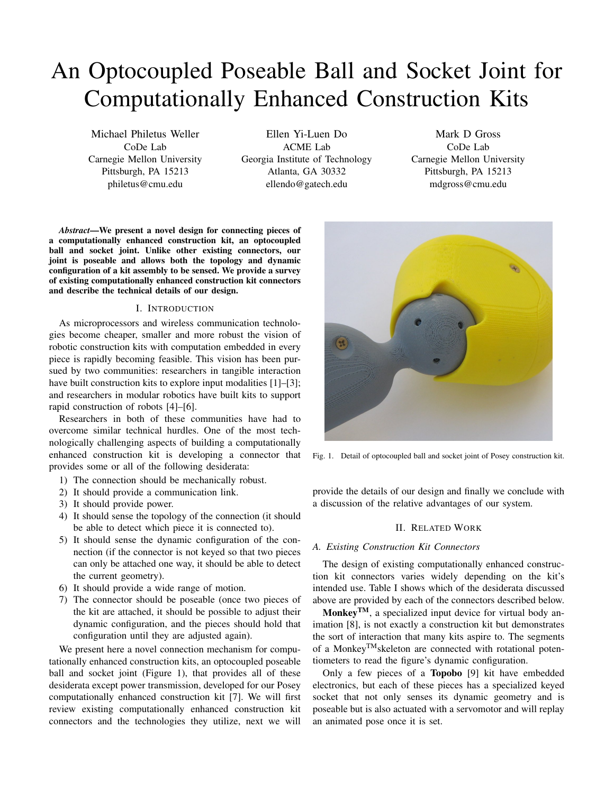# An Optocoupled Poseable Ball and Socket Joint for Computationally Enhanced Construction Kits

Michael Philetus Weller CoDe Lab Carnegie Mellon University Pittsburgh, PA 15213 philetus@cmu.edu

Ellen Yi-Luen Do ACME Lab Georgia Institute of Technology Atlanta, GA 30332 ellendo@gatech.edu

Mark D Gross CoDe Lab Carnegie Mellon University Pittsburgh, PA 15213 mdgross@cmu.edu

*Abstract*—We present a novel design for connecting pieces of a computationally enhanced construction kit, an optocoupled ball and socket joint. Unlike other existing connectors, our joint is poseable and allows both the topology and dynamic configuration of a kit assembly to be sensed. We provide a survey of existing computationally enhanced construction kit connectors and describe the technical details of our design.

# I. INTRODUCTION

As microprocessors and wireless communication technologies become cheaper, smaller and more robust the vision of robotic construction kits with computation embedded in every piece is rapidly becoming feasible. This vision has been pursued by two communities: researchers in tangible interaction have built construction kits to explore input modalities [1]–[3]; and researchers in modular robotics have built kits to support rapid construction of robots [4]–[6].

Researchers in both of these communities have had to overcome similar technical hurdles. One of the most technologically challenging aspects of building a computationally enhanced construction kit is developing a connector that provides some or all of the following desiderata:

- 1) The connection should be mechanically robust.
- 2) It should provide a communication link.
- 3) It should provide power.
- 4) It should sense the topology of the connection (it should be able to detect which piece it is connected to).
- 5) It should sense the dynamic configuration of the connection (if the connector is not keyed so that two pieces can only be attached one way, it should be able to detect the current geometry).
- 6) It should provide a wide range of motion.
- 7) The connector should be poseable (once two pieces of the kit are attached, it should be possible to adjust their dynamic configuration, and the pieces should hold that configuration until they are adjusted again).

We present here a novel connection mechanism for computationally enhanced construction kits, an optocoupled poseable ball and socket joint (Figure [1\)](#page-0-0), that provides all of these desiderata except power transmission, developed for our Posey computationally enhanced construction kit [7]. We will first review existing computationally enhanced construction kit connectors and the technologies they utilize, next we will



Fig. 1. Detail of optocoupled ball and socket joint of Posey construction kit.

<span id="page-0-0"></span>provide the details of our design and finally we conclude with a discussion of the relative advantages of our system.

#### II. RELATED WORK

#### *A. Existing Construction Kit Connectors*

The design of existing computationally enhanced construction kit connectors varies widely depending on the kit's intended use. Table [I](#page-2-0) shows which of the desiderata discussed above are provided by each of the connectors described below.

**Monkey**<sup>TM</sup>, a specialized input device for virtual body animation [8], is not exactly a construction kit but demonstrates the sort of interaction that many kits aspire to. The segments of a MonkeyTMskeleton are connected with rotational potentiometers to read the figure's dynamic configuration.

Only a few pieces of a Topobo [9] kit have embedded electronics, but each of these pieces has a specialized keyed socket that not only senses its dynamic geometry and is poseable but is also actuated with a servomotor and will replay an animated pose once it is set.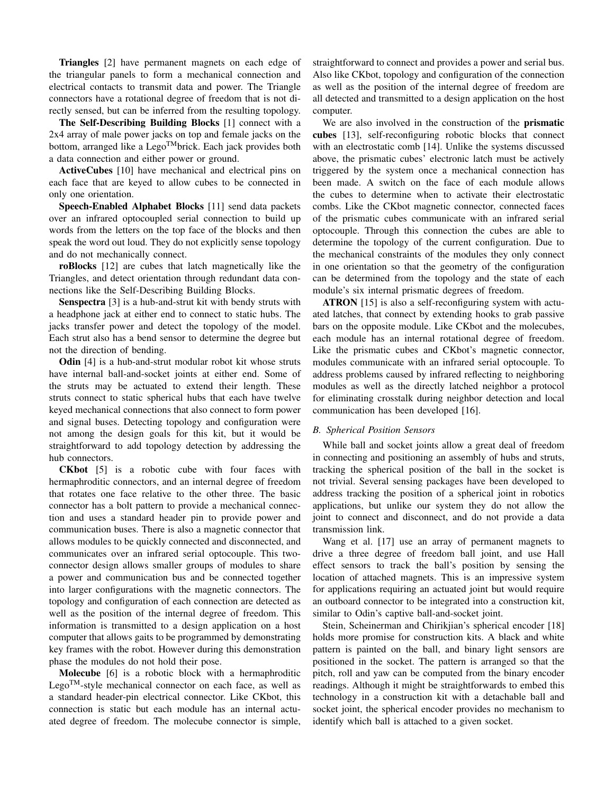Triangles [2] have permanent magnets on each edge of the triangular panels to form a mechanical connection and electrical contacts to transmit data and power. The Triangle connectors have a rotational degree of freedom that is not directly sensed, but can be inferred from the resulting topology.

The Self-Describing Building Blocks [1] connect with a 2x4 array of male power jacks on top and female jacks on the bottom, arranged like a Lego<sup>TM</sup>brick. Each jack provides both a data connection and either power or ground.

ActiveCubes [10] have mechanical and electrical pins on each face that are keyed to allow cubes to be connected in only one orientation.

Speech-Enabled Alphabet Blocks [11] send data packets over an infrared optocoupled serial connection to build up words from the letters on the top face of the blocks and then speak the word out loud. They do not explicitly sense topology and do not mechanically connect.

roBlocks [12] are cubes that latch magnetically like the Triangles, and detect orientation through redundant data connections like the Self-Describing Building Blocks.

Senspectra [3] is a hub-and-strut kit with bendy struts with a headphone jack at either end to connect to static hubs. The jacks transfer power and detect the topology of the model. Each strut also has a bend sensor to determine the degree but not the direction of bending.

Odin [4] is a hub-and-strut modular robot kit whose struts have internal ball-and-socket joints at either end. Some of the struts may be actuated to extend their length. These struts connect to static spherical hubs that each have twelve keyed mechanical connections that also connect to form power and signal buses. Detecting topology and configuration were not among the design goals for this kit, but it would be straightforward to add topology detection by addressing the hub connectors.

CKbot [5] is a robotic cube with four faces with hermaphroditic connectors, and an internal degree of freedom that rotates one face relative to the other three. The basic connector has a bolt pattern to provide a mechanical connection and uses a standard header pin to provide power and communication buses. There is also a magnetic connector that allows modules to be quickly connected and disconnected, and communicates over an infrared serial optocouple. This twoconnector design allows smaller groups of modules to share a power and communication bus and be connected together into larger configurations with the magnetic connectors. The topology and configuration of each connection are detected as well as the position of the internal degree of freedom. This information is transmitted to a design application on a host computer that allows gaits to be programmed by demonstrating key frames with the robot. However during this demonstration phase the modules do not hold their pose.

Molecube [6] is a robotic block with a hermaphroditic  $Lego<sup>TM</sup>$ -style mechanical connector on each face, as well as a standard header-pin electrical connector. Like CKbot, this connection is static but each module has an internal actuated degree of freedom. The molecube connector is simple, straightforward to connect and provides a power and serial bus. Also like CKbot, topology and configuration of the connection as well as the position of the internal degree of freedom are all detected and transmitted to a design application on the host computer.

We are also involved in the construction of the **prismatic** cubes [13], self-reconfiguring robotic blocks that connect with an electrostatic comb [14]. Unlike the systems discussed above, the prismatic cubes' electronic latch must be actively triggered by the system once a mechanical connection has been made. A switch on the face of each module allows the cubes to determine when to activate their electrostatic combs. Like the CKbot magnetic connector, connected faces of the prismatic cubes communicate with an infrared serial optocouple. Through this connection the cubes are able to determine the topology of the current configuration. Due to the mechanical constraints of the modules they only connect in one orientation so that the geometry of the configuration can be determined from the topology and the state of each module's six internal prismatic degrees of freedom.

ATRON [15] is also a self-reconfiguring system with actuated latches, that connect by extending hooks to grab passive bars on the opposite module. Like CKbot and the molecubes, each module has an internal rotational degree of freedom. Like the prismatic cubes and CKbot's magnetic connector, modules communicate with an infrared serial optocouple. To address problems caused by infrared reflecting to neighboring modules as well as the directly latched neighbor a protocol for eliminating crosstalk during neighbor detection and local communication has been developed [16].

#### *B. Spherical Position Sensors*

While ball and socket joints allow a great deal of freedom in connecting and positioning an assembly of hubs and struts, tracking the spherical position of the ball in the socket is not trivial. Several sensing packages have been developed to address tracking the position of a spherical joint in robotics applications, but unlike our system they do not allow the joint to connect and disconnect, and do not provide a data transmission link.

Wang et al. [17] use an array of permanent magnets to drive a three degree of freedom ball joint, and use Hall effect sensors to track the ball's position by sensing the location of attached magnets. This is an impressive system for applications requiring an actuated joint but would require an outboard connector to be integrated into a construction kit, similar to Odin's captive ball-and-socket joint.

Stein, Scheinerman and Chirikjian's spherical encoder [18] holds more promise for construction kits. A black and white pattern is painted on the ball, and binary light sensors are positioned in the socket. The pattern is arranged so that the pitch, roll and yaw can be computed from the binary encoder readings. Although it might be straightforwards to embed this technology in a construction kit with a detachable ball and socket joint, the spherical encoder provides no mechanism to identify which ball is attached to a given socket.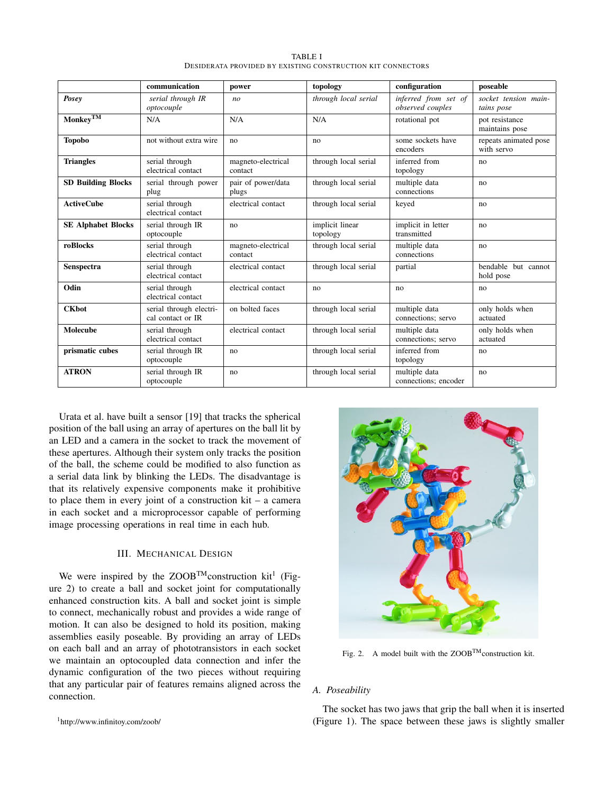<span id="page-2-0"></span>

|                                        | communication                                | power                         | topology                    | configuration                            | poseable                            |
|----------------------------------------|----------------------------------------------|-------------------------------|-----------------------------|------------------------------------------|-------------------------------------|
| Posey                                  | serial through IR<br>optocouple              | n <sub>o</sub>                | through local serial        | inferred from set of<br>observed couples | socket tension main-<br>tains pose  |
| $\overline{\text{Monkey}^{\text{TM}}}$ | N/A                                          | N/A                           | N/A                         | rotational pot                           | pot resistance<br>maintains pose    |
| <b>Topobo</b>                          | not without extra wire                       | no                            | no                          | some sockets have<br>encoders            | repeats animated pose<br>with servo |
| <b>Triangles</b>                       | serial through<br>electrical contact         | magneto-electrical<br>contact | through local serial        | inferred from<br>topology                | no                                  |
| <b>SD Building Blocks</b>              | serial through power<br>plug                 | pair of power/data<br>plugs   | through local serial        | multiple data<br>connections             | no                                  |
| <b>ActiveCube</b>                      | serial through<br>electrical contact         | electrical contact            | through local serial        | keyed                                    | no                                  |
| <b>SE Alphabet Blocks</b>              | serial through IR<br>optocouple              | no                            | implicit linear<br>topology | implicit in letter<br>transmitted        | no                                  |
| roBlocks                               | serial through<br>electrical contact         | magneto-electrical<br>contact | through local serial        | multiple data<br>connections             | no                                  |
| <b>Senspectra</b>                      | serial through<br>electrical contact         | electrical contact            | through local serial        | partial                                  | bendable but cannot<br>hold pose    |
| Odin                                   | serial through<br>electrical contact         | electrical contact            | no                          | no                                       | no                                  |
| <b>CKbot</b>                           | serial through electri-<br>cal contact or IR | on bolted faces               | through local serial        | multiple data<br>connections: servo      | only holds when<br>actuated         |
| Molecube                               | serial through<br>electrical contact         | electrical contact            | through local serial        | multiple data<br>connections; servo      | only holds when<br>actuated         |
| prismatic cubes                        | serial through IR<br>optocouple              | no                            | through local serial        | inferred from<br>topology                | no                                  |
| <b>ATRON</b>                           | serial through IR<br>optocouple              | no                            | through local serial        | multiple data<br>connections; encoder    | no                                  |

TABLE I DESIDERATA PROVIDED BY EXISTING CONSTRUCTION KIT CONNECTORS

Urata et al. have built a sensor [19] that tracks the spherical position of the ball using an array of apertures on the ball lit by an LED and a camera in the socket to track the movement of these apertures. Although their system only tracks the position of the ball, the scheme could be modified to also function as a serial data link by blinking the LEDs. The disadvantage is that its relatively expensive components make it prohibitive to place them in every joint of a construction kit – a camera in each socket and a microprocessor capable of performing image processing operations in real time in each hub.

### III. MECHANICAL DESIGN

We were inspired by the  $ZOOB^{TM}$ construction kit<sup>[1](#page-2-1)</sup> (Figure [2\)](#page-2-2) to create a ball and socket joint for computationally enhanced construction kits. A ball and socket joint is simple to connect, mechanically robust and provides a wide range of motion. It can also be designed to hold its position, making assemblies easily poseable. By providing an array of LEDs on each ball and an array of phototransistors in each socket we maintain an optocoupled data connection and infer the dynamic configuration of the two pieces without requiring that any particular pair of features remains aligned across the connection.

<span id="page-2-1"></span><sup>1</sup><http://www.infinitoy.com/zoob/>



<span id="page-2-2"></span>Fig. 2. A model built with the  $ZOOB<sup>TM</sup>$  construction kit.

### *A. Poseability*

The socket has two jaws that grip the ball when it is inserted (Figure [1\)](#page-0-0). The space between these jaws is slightly smaller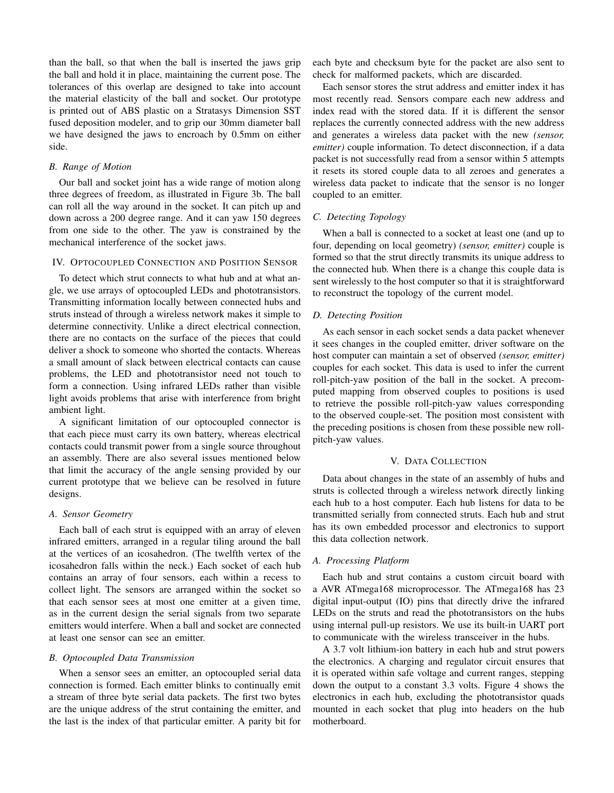than the ball, so that when the ball is inserted the jaws grip the ball and hold it in place, maintaining the current pose. The tolerances of this overlap are designed to take into account the material elasticity of the ball and socket. Our prototype is printed out of ABS plastic on a Stratasys Dimension SST fused deposition modeler, and to grip our 30mm diameter ball we have designed the jaws to encroach by 0.5mm on either side.

# *B. Range of Motion*

Our ball and socket joint has a wide range of motion along three degrees of freedom, as illustrated in Figure [3b.](#page-4-0) The ball can roll all the way around in the socket. It can pitch up and down across a 200 degree range. And it can yaw 150 degrees from one side to the other. The yaw is constrained by the mechanical interference of the socket jaws.

# IV. OPTOCOUPLED CONNECTION AND POSITION SENSOR

To detect which strut connects to what hub and at what angle, we use arrays of optocoupled LEDs and phototransistors. Transmitting information locally between connected hubs and struts instead of through a wireless network makes it simple to determine connectivity. Unlike a direct electrical connection, there are no contacts on the surface of the pieces that could deliver a shock to someone who shorted the contacts. Whereas a small amount of slack between electrical contacts can cause problems, the LED and phototransistor need not touch to form a connection. Using infrared LEDs rather than visible light avoids problems that arise with interference from bright ambient light.

A significant limitation of our optocoupled connector is that each piece must carry its own battery, whereas electrical contacts could transmit power from a single source throughout an assembly. There are also several issues mentioned below that limit the accuracy of the angle sensing provided by our current prototype that we believe can be resolved in future designs.

#### *A. Sensor Geometry*

Each ball of each strut is equipped with an array of eleven infrared emitters, arranged in a regular tiling around the ball at the vertices of an icosahedron. (The twelfth vertex of the icosahedron falls within the neck.) Each socket of each hub contains an array of four sensors, each within a recess to collect light. The sensors are arranged within the socket so that each sensor sees at most one emitter at a given time, as in the current design the serial signals from two separate emitters would interfere. When a ball and socket are connected at least one sensor can see an emitter.

#### *B. Optocoupled Data Transmission*

When a sensor sees an emitter, an optocoupled serial data connection is formed. Each emitter blinks to continually emit a stream of three byte serial data packets. The first two bytes are the unique address of the strut containing the emitter, and the last is the index of that particular emitter. A parity bit for each byte and checksum byte for the packet are also sent to check for malformed packets, which are discarded.

Each sensor stores the strut address and emitter index it has most recently read. Sensors compare each new address and index read with the stored data. If it is different the sensor replaces the currently connected address with the new address and generates a wireless data packet with the new *(sensor, emitter)* couple information. To detect disconnection, if a data packet is not successfully read from a sensor within 5 attempts it resets its stored couple data to all zeroes and generates a wireless data packet to indicate that the sensor is no longer coupled to an emitter.

#### *C. Detecting Topology*

When a ball is connected to a socket at least one (and up to four, depending on local geometry) *(sensor, emitter)* couple is formed so that the strut directly transmits its unique address to the connected hub. When there is a change this couple data is sent wirelessly to the host computer so that it is straightforward to reconstruct the topology of the current model.

## *D. Detecting Position*

As each sensor in each socket sends a data packet whenever it sees changes in the coupled emitter, driver software on the host computer can maintain a set of observed *(sensor, emitter)* couples for each socket. This data is used to infer the current roll-pitch-yaw position of the ball in the socket. A precomputed mapping from observed couples to positions is used to retrieve the possible roll-pitch-yaw values corresponding to the observed couple-set. The position most consistent with the preceding positions is chosen from these possible new rollpitch-yaw values.

#### V. DATA COLLECTION

Data about changes in the state of an assembly of hubs and struts is collected through a wireless network directly linking each hub to a host computer. Each hub listens for data to be transmitted serially from connected struts. Each hub and strut has its own embedded processor and electronics to support this data collection network.

# *A. Processing Platform*

Each hub and strut contains a custom circuit board with a AVR ATmega168 microprocessor. The ATmega168 has 23 digital input-output (IO) pins that directly drive the infrared LEDs on the struts and read the phototransistors on the hubs using internal pull-up resistors. We use its built-in UART port to communicate with the wireless transceiver in the hubs.

A 3.7 volt lithium-ion battery in each hub and strut powers the electronics. A charging and regulator circuit ensures that it is operated within safe voltage and current ranges, stepping down the output to a constant 3.3 volts. Figure [4](#page-4-1) shows the electronics in each hub, excluding the phototransistor quads mounted in each socket that plug into headers on the hub motherboard.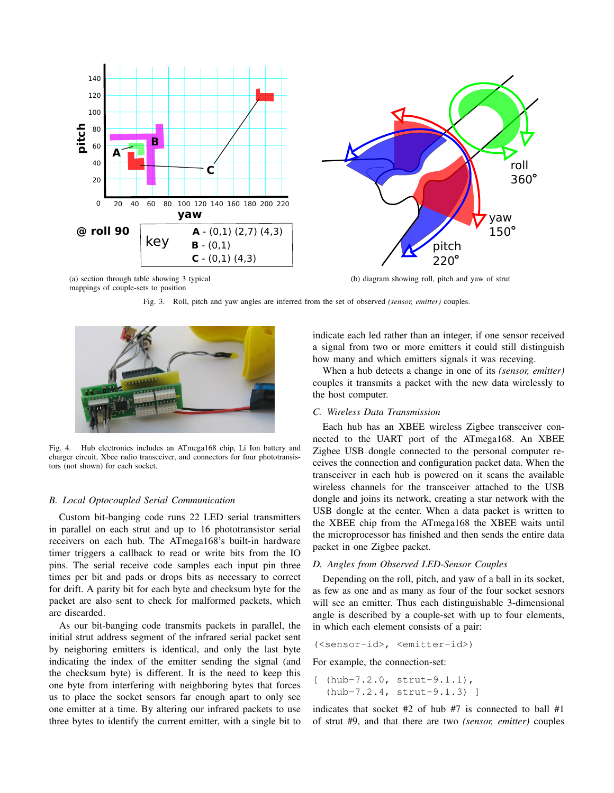



<span id="page-4-2"></span>(a) section through table showing 3 typical mappings of couple-sets to position

Fig. 3. Roll, pitch and yaw angles are inferred from the set of observed *(sensor, emitter)* couples.



Fig. 4. Hub electronics includes an ATmega168 chip, Li Ion battery and charger circuit, Xbee radio transceiver, and connectors for four phototransistors (not shown) for each socket.

#### <span id="page-4-1"></span>*B. Local Optocoupled Serial Communication*

Custom bit-banging code runs 22 LED serial transmitters in parallel on each strut and up to 16 phototransistor serial receivers on each hub. The ATmega168's built-in hardware timer triggers a callback to read or write bits from the IO pins. The serial receive code samples each input pin three times per bit and pads or drops bits as necessary to correct for drift. A parity bit for each byte and checksum byte for the packet are also sent to check for malformed packets, which are discarded.

As our bit-banging code transmits packets in parallel, the initial strut address segment of the infrared serial packet sent by neigboring emitters is identical, and only the last byte indicating the index of the emitter sending the signal (and the checksum byte) is different. It is the need to keep this one byte from interfering with neighboring bytes that forces us to place the socket sensors far enough apart to only see one emitter at a time. By altering our infrared packets to use three bytes to identify the current emitter, with a single bit to

<span id="page-4-0"></span>indicate each led rather than an integer, if one sensor received a signal from two or more emitters it could still distinguish how many and which emitters signals it was receving.

When a hub detects a change in one of its *(sensor, emitter)* couples it transmits a packet with the new data wirelessly to the host computer.

# *C. Wireless Data Transmission*

Each hub has an XBEE wireless Zigbee transceiver connected to the UART port of the ATmega168. An XBEE Zigbee USB dongle connected to the personal computer receives the connection and configuration packet data. When the transceiver in each hub is powered on it scans the available wireless channels for the transceiver attached to the USB dongle and joins its network, creating a star network with the USB dongle at the center. When a data packet is written to the XBEE chip from the ATmega168 the XBEE waits until the microprocessor has finished and then sends the entire data packet in one Zigbee packet.

#### *D. Angles from Observed LED-Sensor Couples*

Depending on the roll, pitch, and yaw of a ball in its socket, as few as one and as many as four of the four socket sesnors will see an emitter. Thus each distinguishable 3-dimensional angle is described by a couple-set with up to four elements, in which each element consists of a pair:

(<sensor-id>, <emitter-id>)

For example, the connection-set:

 $[$  (hub-7.2.0, strut-9.1.1), (hub-7.2.4, strut-9.1.3) ]

indicates that socket #2 of hub #7 is connected to ball #1 of strut #9, and that there are two *(sensor, emitter)* couples